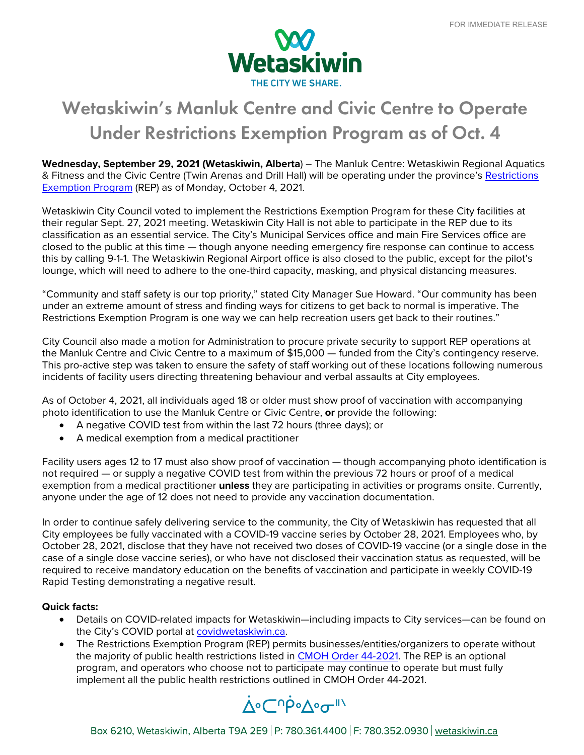

## Wetaskiwin's Manluk Centre and Civic Centre to Operate Under Restrictions Exemption Program as of Oct. 4

**Wednesday, September 29, 2021 (Wetaskiwin, Alberta**) – The Manluk Centre: Wetaskiwin Regional Aquatics & Fitness and the Civic Centre (Twin Arenas and Drill Hall) will be operating under the province's Restrictions Exemption Program (REP) as of Monday, October 4, 2021.

Wetaskiwin City Council voted to implement the Restrictions Exemption Program for these City facilities at their regular Sept. 27, 2021 meeting. Wetaskiwin City Hall is not able to participate in the REP due to its classification as an essential service. The City's Municipal Services office and main Fire Services office are closed to the public at this time — though anyone needing emergency fire response can continue to access this by calling 9-1-1. The Wetaskiwin Regional Airport office is also closed to the public, except for the pilot's lounge, which will need to adhere to the one-third capacity, masking, and physical distancing measures.

"Community and staff safety is our top priority," stated City Manager Sue Howard. "Our community has been under an extreme amount of stress and finding ways for citizens to get back to normal is imperative. The Restrictions Exemption Program is one way we can help recreation users get back to their routines."

City Council also made a motion for Administration to procure private security to support REP operations at the Manluk Centre and Civic Centre to a maximum of \$15,000 — funded from the City's contingency reserve. This pro-active step was taken to ensure the safety of staff working out of these locations following numerous incidents of facility users directing threatening behaviour and verbal assaults at City employees.

As of October 4, 2021, all individuals aged 18 or older must show proof of vaccination with accompanying photo identification to use the Manluk Centre or Civic Centre, **or** provide the following:

- A negative COVID test from within the last 72 hours (three days); or
- A medical exemption from a medical practitioner

Facility users ages 12 to 17 must also show proof of vaccination — though accompanying photo identification is not required — or supply a negative COVID test from within the previous 72 hours or proof of a medical exemption from a medical practitioner **unless** they are participating in activities or programs onsite. Currently, anyone under the age of 12 does not need to provide any vaccination documentation.

In order to continue safely delivering service to the community, the City of Wetaskiwin has requested that all City employees be fully vaccinated with a COVID-19 vaccine series by October 28, 2021. Employees who, by October 28, 2021, disclose that they have not received two doses of COVID-19 vaccine (or a single dose in the case of a single dose vaccine series), or who have not disclosed their vaccination status as requested, will be required to receive mandatory education on the benefits of vaccination and participate in weekly COVID-19 Rapid Testing demonstrating a negative result.

## **Quick facts:**

- Details on COVID-related impacts for Wetaskiwin—including impacts to City services—can be found on the City's COVID portal at covidwetaskiwin.ca.
- The Restrictions Exemption Program (REP) permits businesses/entities/organizers to operate without the majority of public health restrictions listed in CMOH Order 44-2021. The REP is an optional program, and operators who choose not to participate may continue to operate but must fully implement all the public health restrictions outlined in CMOH Order 44-2021.